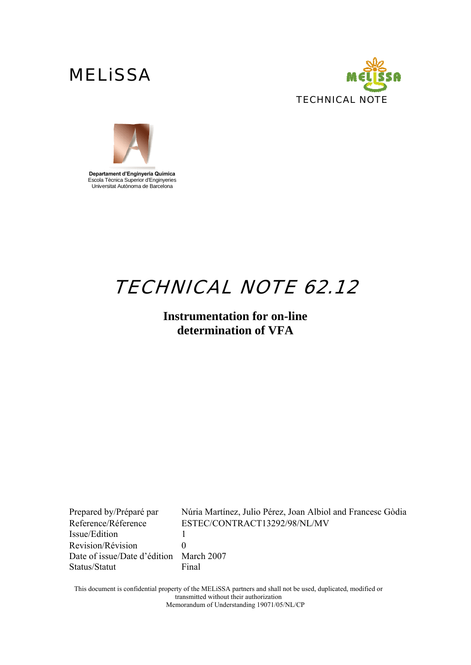



**Departament d'Enginyeria Química**  Escola Tècnica Superior d'Enginyeries Universitat Autònoma de Barcelona

# TECHNICAL NOTE 62.12

### **Instrumentation for on-line determination of VFA**

Issue/Edition 1 Revision/Révision 0 Date of issue/Date d'édition March 2007 Status/Statut Final

Prepared by/Préparé par Núria Martínez, Julio Pérez, Joan Albiol and Francesc Gòdia Reference/Réference ESTEC/CONTRACT13292/98/NL/MV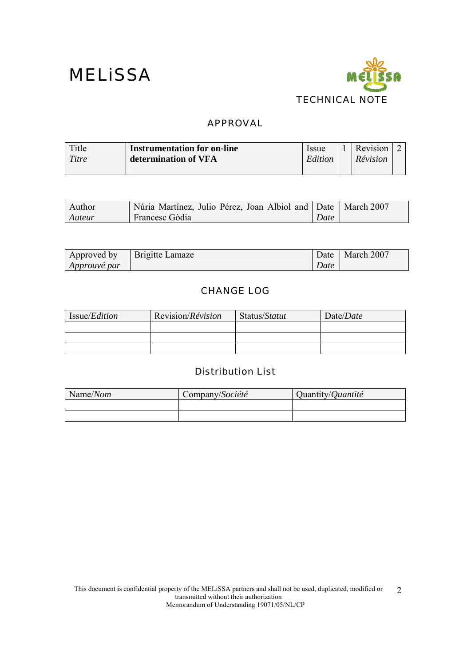

### APPROVAL

| Title | <b>Instrumentation for on-line</b> | <i>Issue</i> | Revision $\vert$ $\angle$ |  |
|-------|------------------------------------|--------------|---------------------------|--|
| Titre | determination of VFA               | Edition      | Révision                  |  |
|       |                                    |              |                           |  |

| Author | Núria Martínez, Julio Pérez, Joan Albiol and Date   March 2007 |      |  |
|--------|----------------------------------------------------------------|------|--|
| Auteur | Francesc Gòdia                                                 | Date |  |

| Approved by         | Brigitte Lamaze | Date | March 2007 |
|---------------------|-----------------|------|------------|
| <i>Approuvé par</i> |                 | Date |            |

### CHANGE LOG

| Issue/ <i>Edition</i> | Revision/ <i>Révision</i> | Status/Statut | Date/Date |
|-----------------------|---------------------------|---------------|-----------|
|                       |                           |               |           |
|                       |                           |               |           |
|                       |                           |               |           |

### Distribution List

| Name/Nom | Company/Société | Quantity/ <i>Quantité</i> |
|----------|-----------------|---------------------------|
|          |                 |                           |
|          |                 |                           |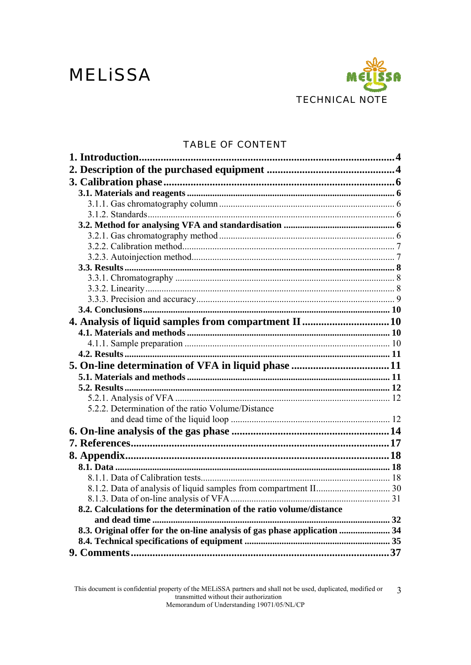# **MELISSA**



### **TABLE OF CONTENT**

| 5.2.2. Determination of the ratio Volume/Distance                         |  |
|---------------------------------------------------------------------------|--|
|                                                                           |  |
|                                                                           |  |
|                                                                           |  |
|                                                                           |  |
|                                                                           |  |
|                                                                           |  |
|                                                                           |  |
|                                                                           |  |
|                                                                           |  |
| 8.2. Calculations for the determination of the ratio volume/distance      |  |
| 8.3. Original offer for the on-line analysis of gas phase application  34 |  |
|                                                                           |  |
|                                                                           |  |
|                                                                           |  |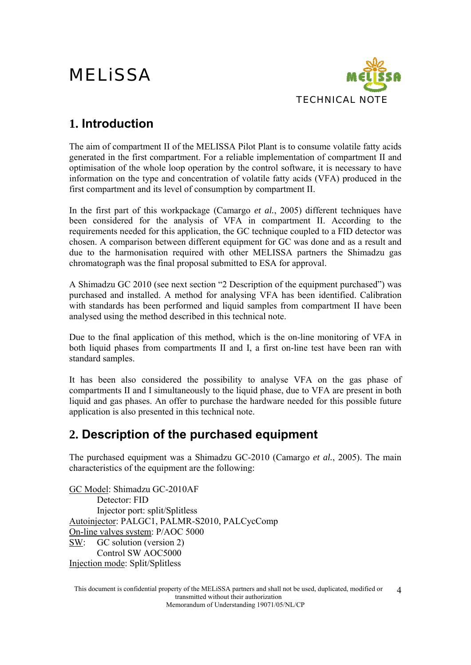

### **1. Introduction**

The aim of compartment II of the MELISSA Pilot Plant is to consume volatile fatty acids generated in the first compartment. For a reliable implementation of compartment II and optimisation of the whole loop operation by the control software, it is necessary to have information on the type and concentration of volatile fatty acids (VFA) produced in the first compartment and its level of consumption by compartment II.

In the first part of this workpackage (Camargo *et al.*, 2005) different techniques have been considered for the analysis of VFA in compartment II. According to the requirements needed for this application, the GC technique coupled to a FID detector was chosen. A comparison between different equipment for GC was done and as a result and due to the harmonisation required with other MELISSA partners the Shimadzu gas chromatograph was the final proposal submitted to ESA for approval.

A Shimadzu GC 2010 (see next section "2 Description of the equipment purchased") was purchased and installed. A method for analysing VFA has been identified. Calibration with standards has been performed and liquid samples from compartment II have been analysed using the method described in this technical note.

Due to the final application of this method, which is the on-line monitoring of VFA in both liquid phases from compartments II and I, a first on-line test have been ran with standard samples.

It has been also considered the possibility to analyse VFA on the gas phase of compartments II and I simultaneously to the liquid phase, due to VFA are present in both liquid and gas phases. An offer to purchase the hardware needed for this possible future application is also presented in this technical note.

### **2. Description of the purchased equipment**

The purchased equipment was a Shimadzu GC-2010 (Camargo *et al.*, 2005). The main characteristics of the equipment are the following:

GC Model: Shimadzu GC-2010AF Detector: FID Injector port: split/Splitless Autoinjector: PALGC1, PALMR-S2010, PALCycComp On-line valves system: P/AOC 5000 SW: GC solution (version 2) Control SW AOC5000 Injection mode: Split/Splitless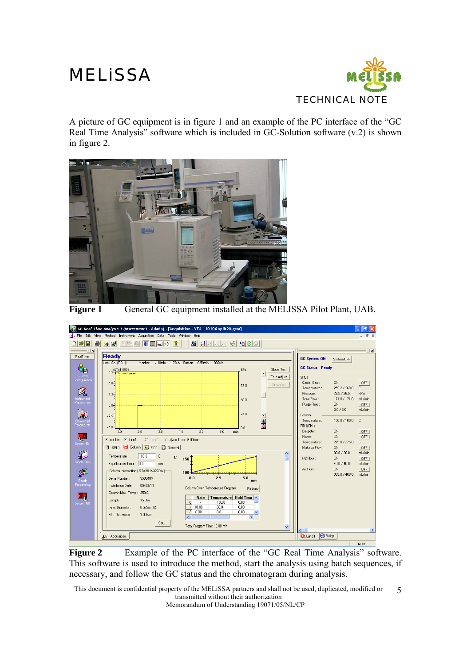

A picture of GC equipment is in figure 1 and an example of the PC interface of the "GC Real Time Analysis" software which is included in GC-Solution software (v.2) is shown in figure 2.



**Figure 1** General GC equipment installed at the MELISSA Pilot Plant, UAB.



Figure 2 Example of the PC interface of the "GC Real Time Analysis" software. This software is used to introduce the method, start the analysis using batch sequences, if necessary, and follow the GC status and the chromatogram during analysis.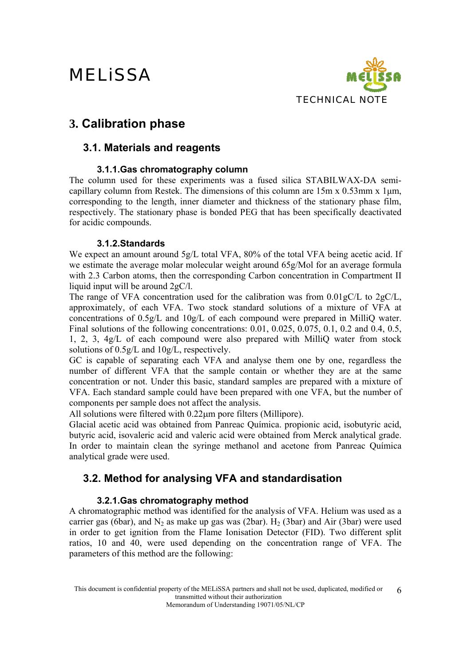

### **3. Calibration phase**

### **3.1. Materials and reagents**

### **3.1.1.Gas chromatography column**

The column used for these experiments was a fused silica STABILWAX-DA semicapillary column from Restek. The dimensions of this column are 15m x 0.53mm x 1μm, corresponding to the length, inner diameter and thickness of the stationary phase film, respectively. The stationary phase is bonded PEG that has been specifically deactivated for acidic compounds.

### **3.1.2.Standards**

We expect an amount around 5g/L total VFA, 80% of the total VFA being acetic acid. If we estimate the average molar molecular weight around 65g/Mol for an average formula with 2.3 Carbon atoms, then the corresponding Carbon concentration in Compartment II liquid input will be around 2gC/l.

The range of VFA concentration used for the calibration was from 0.01gC/L to 2gC/L, approximately, of each VFA. Two stock standard solutions of a mixture of VFA at concentrations of 0.5g/L and 10g/L of each compound were prepared in MilliQ water. Final solutions of the following concentrations: 0.01, 0.025, 0.075, 0.1, 0.2 and 0.4, 0.5, 1, 2, 3, 4g/L of each compound were also prepared with MilliQ water from stock solutions of 0.5g/L and 10g/L, respectively.

GC is capable of separating each VFA and analyse them one by one, regardless the number of different VFA that the sample contain or whether they are at the same concentration or not. Under this basic, standard samples are prepared with a mixture of VFA. Each standard sample could have been prepared with one VFA, but the number of components per sample does not affect the analysis.

All solutions were filtered with 0.22μm pore filters (Millipore).

Glacial acetic acid was obtained from Panreac Química. propionic acid, isobutyric acid, butyric acid, isovaleric acid and valeric acid were obtained from Merck analytical grade. In order to maintain clean the syringe methanol and acetone from Panreac Química analytical grade were used.

### **3.2. Method for analysing VFA and standardisation**

### **3.2.1.Gas chromatography method**

A chromatographic method was identified for the analysis of VFA. Helium was used as a carrier gas (6bar), and  $N_2$  as make up gas was (2bar).  $H_2$  (3bar) and Air (3bar) were used in order to get ignition from the Flame Ionisation Detector (FID). Two different split ratios, 10 and 40, were used depending on the concentration range of VFA. The parameters of this method are the following: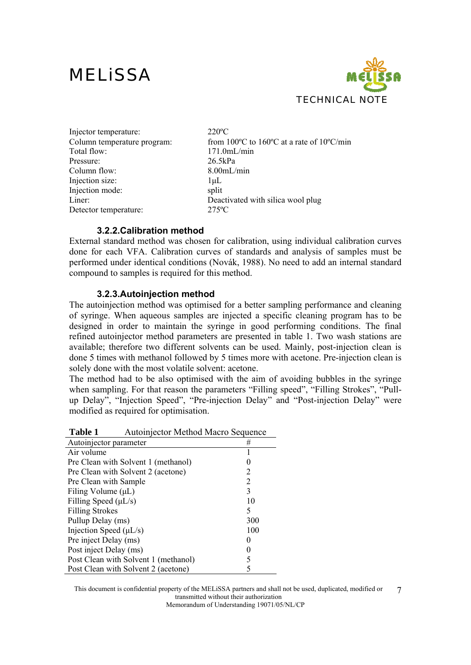

| Injector temperature:       | $220^{\circ}$ C                                                         |
|-----------------------------|-------------------------------------------------------------------------|
| Column temperature program: | from 100 $\degree$ C to 160 $\degree$ C at a rate of 10 $\degree$ C/min |
| Total flow:                 | 171.0mL/min                                                             |
| Pressure:                   | 26.5kPa                                                                 |
| Column flow:                | 8.00mL/min                                                              |
| Injection size:             | $1 \mu L$                                                               |
| Injection mode:             | split                                                                   |
| Liner:                      | Deactivated with silica wool plug                                       |
| Detector temperature:       | $275^{\circ}$ C                                                         |

#### **3.2.2.Calibration method**

External standard method was chosen for calibration, using individual calibration curves done for each VFA. Calibration curves of standards and analysis of samples must be performed under identical conditions (Novák, 1988). No need to add an internal standard compound to samples is required for this method.

#### **3.2.3.Autoinjection method**

The autoinjection method was optimised for a better sampling performance and cleaning of syringe. When aqueous samples are injected a specific cleaning program has to be designed in order to maintain the syringe in good performing conditions. The final refined autoinjector method parameters are presented in table 1. Two wash stations are available; therefore two different solvents can be used. Mainly, post-injection clean is done 5 times with methanol followed by 5 times more with acetone. Pre-injection clean is solely done with the most volatile solvent: acetone.

The method had to be also optimised with the aim of avoiding bubbles in the syringe when sampling. For that reason the parameters "Filling speed", "Filling Strokes", "Pullup Delay", "Injection Speed", "Pre-injection Delay" and "Post-injection Delay" were modified as required for optimisation.

| Table 1<br>Autoinjector Method Macro Sequence |  |  |
|-----------------------------------------------|--|--|
|-----------------------------------------------|--|--|

| Autoinjector parameter               | #   |
|--------------------------------------|-----|
| Air volume                           |     |
| Pre Clean with Solvent 1 (methanol)  |     |
| Pre Clean with Solvent 2 (acetone)   | 2   |
| Pre Clean with Sample                | 2   |
| Filing Volume $(\mu L)$              | 3   |
| Filling Speed $(\mu L/s)$            | 10  |
| <b>Filling Strokes</b>               | 5   |
| Pullup Delay (ms)                    | 300 |
| Injection Speed $(\mu L/s)$          | 100 |
| Pre inject Delay (ms)                |     |
| Post inject Delay (ms)               |     |
| Post Clean with Solvent 1 (methanol) |     |
| Post Clean with Solvent 2 (acetone)  |     |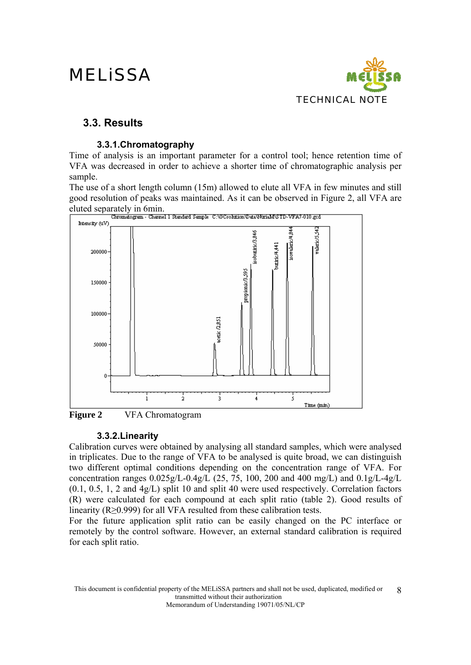

### **3.3. Results**

### **3.3.1.Chromatography**

Time of analysis is an important parameter for a control tool; hence retention time of VFA was decreased in order to achieve a shorter time of chromatographic analysis per sample.

The use of a short length column (15m) allowed to elute all VFA in few minutes and still good resolution of peaks was maintained. As it can be observed in Figure 2, all VFA are eluted separately in 6min.<br>
Channel I Standard Sample CNGCsobnion DataWoriaMSTD-VFA7-010.gcd



**Figure 2** VFA Chromatogram

### **3.3.2.Linearity**

Calibration curves were obtained by analysing all standard samples, which were analysed in triplicates. Due to the range of VFA to be analysed is quite broad, we can distinguish two different optimal conditions depending on the concentration range of VFA. For concentration ranges 0.025g/L-0.4g/L (25, 75, 100, 200 and 400 mg/L) and 0.1g/L-4g/L (0.1, 0.5, 1, 2 and 4g/L) split 10 and split 40 were used respectively. Correlation factors (R) were calculated for each compound at each split ratio (table 2). Good results of linearity (R≥0.999) for all VFA resulted from these calibration tests.

For the future application split ratio can be easily changed on the PC interface or remotely by the control software. However, an external standard calibration is required for each split ratio.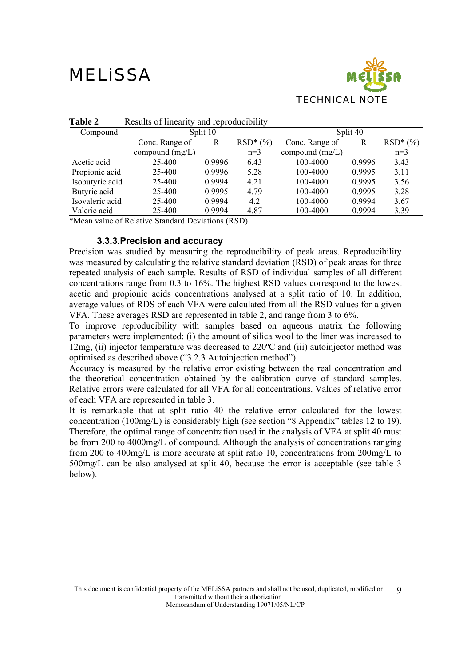

| Table 2                                                                                | Results of linearity and reproducibility |        |            |                   |          |            |
|----------------------------------------------------------------------------------------|------------------------------------------|--------|------------|-------------------|----------|------------|
| Compound                                                                               | Split 10                                 |        |            |                   | Split 40 |            |
|                                                                                        | Conc. Range of                           | R      | $RSD*(\%)$ | Conc. Range of    | R        | $RSD*(\%)$ |
|                                                                                        | compound $(mg/L)$                        |        | $n=3$      | compound $(mg/L)$ |          | $n=3$      |
| Acetic acid                                                                            | 25-400                                   | 0.9996 | 6.43       | 100-4000          | 0.9996   | 3.43       |
| Propionic acid                                                                         | 25-400                                   | 0.9996 | 5.28       | 100-4000          | 0.9995   | 3.11       |
| Isobutyric acid                                                                        | 25-400                                   | 0.9994 | 4.21       | 100-4000          | 0.9995   | 3.56       |
| Butyric acid                                                                           | 25-400                                   | 0.9995 | 4.79       | 100-4000          | 0.9995   | 3.28       |
| Isovaleric acid                                                                        | 25-400                                   | 0.9994 | 4.2        | 100-4000          | 0.9994   | 3.67       |
| Valeric acid                                                                           | 25-400                                   | 0.9994 | 4.87       | 100-4000          | 0.9994   | 3.39       |
| $\mathbf{d} \cdot \mathbf{r}$ , and $\mathbf{r}$ , and $\mathbf{r}$ , and $\mathbf{r}$ | $\alpha$ m $\beta$<br>$\alpha$ , 1 1 m   |        | (5.05)     |                   |          |            |

**Table 2** Results of linearity and reproducibility

\*Mean value of Relative Standard Deviations (RSD)

### **3.3.3.Precision and accuracy**

Precision was studied by measuring the reproducibility of peak areas. Reproducibility was measured by calculating the relative standard deviation (RSD) of peak areas for three repeated analysis of each sample. Results of RSD of individual samples of all different concentrations range from 0.3 to 16%. The highest RSD values correspond to the lowest acetic and propionic acids concentrations analysed at a split ratio of 10. In addition, average values of RDS of each VFA were calculated from all the RSD values for a given VFA. These averages RSD are represented in table 2, and range from 3 to 6%.

To improve reproducibility with samples based on aqueous matrix the following parameters were implemented: (i) the amount of silica wool to the liner was increased to 12mg, (ii) injector temperature was decreased to 220ºC and (iii) autoinjector method was optimised as described above ("3.2.3 Autoinjection method").

Accuracy is measured by the relative error existing between the real concentration and the theoretical concentration obtained by the calibration curve of standard samples. Relative errors were calculated for all VFA for all concentrations. Values of relative error of each VFA are represented in table 3.

It is remarkable that at split ratio 40 the relative error calculated for the lowest concentration (100mg/L) is considerably high (see section "8 Appendix" tables 12 to 19). Therefore, the optimal range of concentration used in the analysis of VFA at split 40 must be from 200 to 4000mg/L of compound. Although the analysis of concentrations ranging from 200 to 400mg/L is more accurate at split ratio 10, concentrations from 200mg/L to 500mg/L can be also analysed at split 40, because the error is acceptable (see table 3 below).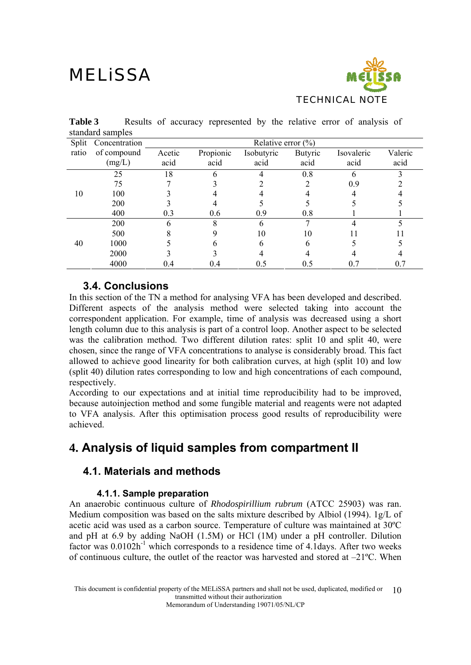

|       | standard samples    |                        |           |            |                |            |         |
|-------|---------------------|------------------------|-----------|------------|----------------|------------|---------|
|       | Split Concentration | Relative error $(\% )$ |           |            |                |            |         |
| ratio | of compound         | Acetic                 | Propionic | Isobutyric | <b>Butyric</b> | Isovaleric | Valeric |
|       | (mg/L)              | acid                   | acid      | acid       | acid           | acid       | acid    |
|       | 25                  | 18                     |           |            | 0.8            |            |         |
|       | 75                  |                        |           |            |                | 0.9        |         |
| 10    | 100                 |                        |           |            |                |            |         |
|       | 200                 |                        |           |            |                |            |         |
|       | 400                 | 0.3                    | 0.6       | 0.9        | 0.8            |            |         |
|       | 200                 |                        |           |            |                |            |         |
|       | 500                 |                        |           | 10         | 10             |            |         |
| 40    | 1000                |                        |           |            |                |            |         |
|       | 2000                |                        |           |            |                |            |         |

4000 0.4 0.4 0.5 0.5 0.7 0.7

**Table 3** Results of accuracy represented by the relative error of analysis of standard samples

### **3.4. Conclusions**

In this section of the TN a method for analysing VFA has been developed and described. Different aspects of the analysis method were selected taking into account the correspondent application. For example, time of analysis was decreased using a short length column due to this analysis is part of a control loop. Another aspect to be selected was the calibration method. Two different dilution rates: split 10 and split 40, were chosen, since the range of VFA concentrations to analyse is considerably broad. This fact allowed to achieve good linearity for both calibration curves, at high (split 10) and low (split 40) dilution rates corresponding to low and high concentrations of each compound, respectively.

According to our expectations and at initial time reproducibility had to be improved, because autoinjection method and some fungible material and reagents were not adapted to VFA analysis. After this optimisation process good results of reproducibility were achieved.

### **4. Analysis of liquid samples from compartment II**

### **4.1. Materials and methods**

### **4.1.1. Sample preparation**

An anaerobic continuous culture of *Rhodospirillium rubrum* (ATCC 25903) was ran. Medium composition was based on the salts mixture described by Albiol (1994). 1g/L of acetic acid was used as a carbon source. Temperature of culture was maintained at 30ºC and pH at 6.9 by adding NaOH (1.5M) or HCl (1M) under a pH controller. Dilution factor was  $0.0102h^{-1}$  which corresponds to a residence time of 4.1 days. After two weeks of continuous culture, the outlet of the reactor was harvested and stored at  $-21^{\circ}$ C. When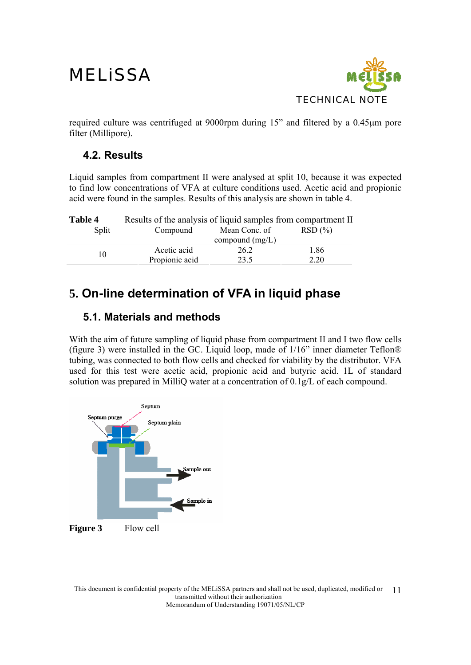

required culture was centrifuged at 9000rpm during 15" and filtered by a 0.45μm pore filter (Millipore).

### **4.2. Results**

Liquid samples from compartment II were analysed at split 10, because it was expected to find low concentrations of VFA at culture conditions used. Acetic acid and propionic acid were found in the samples. Results of this analysis are shown in table 4.

| Table 4 | Results of the analysis of liquid samples from compartment II |                         |      |  |  |  |
|---------|---------------------------------------------------------------|-------------------------|------|--|--|--|
| Split   | Compound                                                      | RSD(%)<br>Mean Conc. of |      |  |  |  |
|         |                                                               | compound $(mg/L)$       |      |  |  |  |
| 10      | Acetic acid                                                   | 26.2                    | 1.86 |  |  |  |
|         | Propionic acid                                                | 23.5                    | 2.20 |  |  |  |

### **5. On-line determination of VFA in liquid phase**

### **5.1. Materials and methods**

With the aim of future sampling of liquid phase from compartment II and I two flow cells (figure 3) were installed in the GC. Liquid loop, made of 1/16" inner diameter Teflon® tubing, was connected to both flow cells and checked for viability by the distributor. VFA used for this test were acetic acid, propionic acid and butyric acid. 1L of standard solution was prepared in MilliQ water at a concentration of 0.1g/L of each compound.

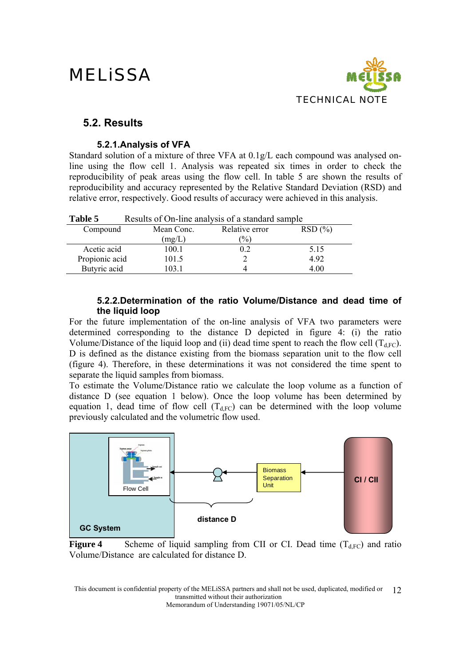

### **5.2. Results**

### **5.2.1.Analysis of VFA**

Standard solution of a mixture of three VFA at 0.1g/L each compound was analysed online using the flow cell 1. Analysis was repeated six times in order to check the reproducibility of peak areas using the flow cell. In table 5 are shown the results of reproducibility and accuracy represented by the Relative Standard Deviation (RSD) and relative error, respectively. Good results of accuracy were achieved in this analysis.

| Table 5        | Results of On-line analysis of a standard sample |                |        |
|----------------|--------------------------------------------------|----------------|--------|
| Compound       | Mean Conc.                                       | Relative error | RSD(%) |
|                | (mg/L)                                           | $\frac{1}{2}$  |        |
| Acetic acid    | 100.1                                            | 02             | 5.15   |
| Propionic acid | 101.5                                            |                | 4.92   |
| Butyric acid   | 103.1                                            |                | 4.00   |

### **5.2.2.Determination of the ratio Volume/Distance and dead time of the liquid loop**

For the future implementation of the on-line analysis of VFA two parameters were determined corresponding to the distance D depicted in figure 4: (i) the ratio Volume/Distance of the liquid loop and (ii) dead time spent to reach the flow cell  $(T_{\text{d-EC}})$ . D is defined as the distance existing from the biomass separation unit to the flow cell (figure 4). Therefore, in these determinations it was not considered the time spent to separate the liquid samples from biomass.

To estimate the Volume/Distance ratio we calculate the loop volume as a function of distance D (see equation 1 below). Once the loop volume has been determined by equation 1, dead time of flow cell  $(T<sub>dFC</sub>)$  can be determined with the loop volume previously calculated and the volumetric flow used.



**Figure 4** Scheme of liquid sampling from CII or CI. Dead time  $(T_{dFC})$  and ratio Volume/Distance are calculated for distance D.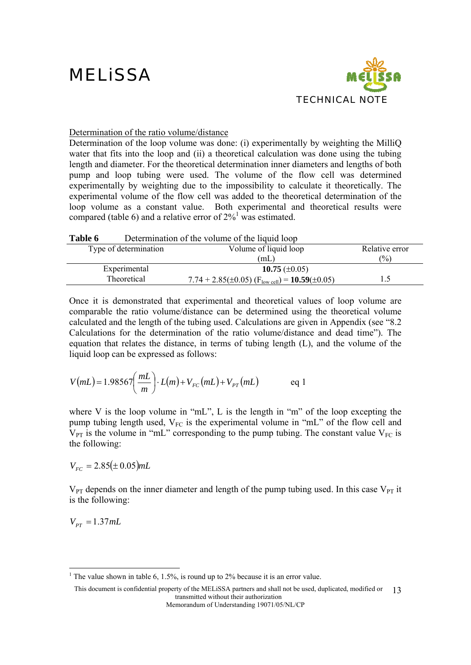

### Determination of the ratio volume/distance

Determination of the loop volume was done: (i) experimentally by weighting the MilliO water that fits into the loop and (ii) a theoretical calculation was done using the tubing length and diameter. For the theoretical determination inner diameters and lengths of both pump and loop tubing were used. The volume of the flow cell was determined experimentally by weighting due to the impossibility to calculate it theoretically. The experimental volume of the flow cell was added to the theoretical determination of the loop volume as a constant value. Both experimental and theoretical results were compared (table 6) and a relative error of  $2\%$ <sup>1</sup> was estimated.

| Table 6 |                       | Determination of the volume of the liquid loop                                 |                |
|---------|-----------------------|--------------------------------------------------------------------------------|----------------|
|         | Type of determination | Volume of liquid loop                                                          | Relative error |
|         |                       | (mL)                                                                           | $\binom{0}{0}$ |
|         | Experimental          | 10.75 $(\pm 0.05)$                                                             |                |
|         | Theoretical           | 7.74 + 2.85( $\pm$ 0.05) (F <sub>low cell</sub> ) = <b>10.59</b> ( $\pm$ 0.05) | 1.5            |

Once it is demonstrated that experimental and theoretical values of loop volume are comparable the ratio volume/distance can be determined using the theoretical volume calculated and the length of the tubing used. Calculations are given in Appendix (see "8.2 Calculations for the determination of the ratio volume/distance and dead time"). The equation that relates the distance, in terms of tubing length (L), and the volume of the liquid loop can be expressed as follows:

$$
V(mL) = 1.98567 \left(\frac{mL}{m}\right) \cdot L(m) + V_{FC}(mL) + V_{PT}(mL) \qquad \text{eq 1}
$$

where V is the loop volume in "mL", L is the length in "m" of the loop excepting the pump tubing length used,  $V_{FC}$  is the experimental volume in "mL" of the flow cell and  $V_{PT}$  is the volume in "mL" corresponding to the pump tubing. The constant value  $V_{FC}$  is the following:

 $V_{FC} = 2.85(\pm 0.05) mL$ 

 $V_{PT}$  depends on the inner diameter and length of the pump tubing used. In this case  $V_{PT}$  it is the following:

 $V_{PT} = 1.37$ *mL* 

<sup>&</sup>lt;sup>1</sup> The value shown in table 6, 1.5%, is round up to 2% because it is an error value.

This document is confidential property of the MELiSSA partners and shall not be used, duplicated, modified or 13 transmitted without their authorization Memorandum of Understanding 19071/05/NL/CP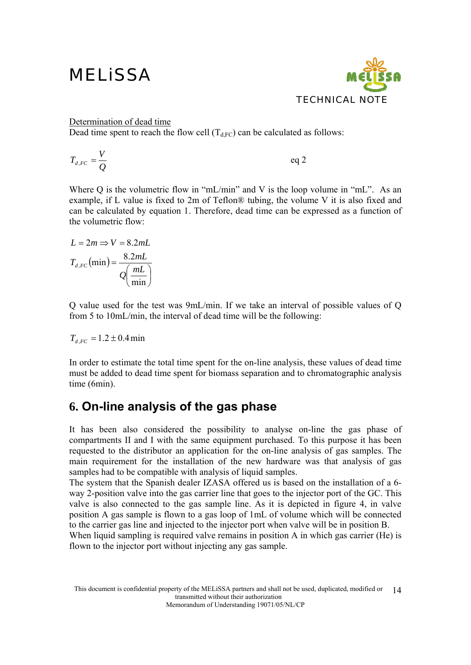

#### Determination of dead time

Dead time spent to reach the flow cell  $(T_{d,FC})$  can be calculated as follows:

$$
T_{d,FC} = \frac{V}{Q} \qquad \qquad \text{eq 2}
$$

Where Q is the volumetric flow in "mL/min" and V is the loop volume in "mL". As an example, if L value is fixed to 2m of Teflon® tubing, the volume V it is also fixed and can be calculated by equation 1. Therefore, dead time can be expressed as a function of the volumetric flow:

$$
L = 2m \Rightarrow V = 8.2mL
$$

$$
T_{d,FC}(\text{min}) = \frac{8.2mL}{Q\left(\frac{mL}{\text{min}}\right)}
$$

Q value used for the test was 9mL/min. If we take an interval of possible values of Q from 5 to 10mL/min, the interval of dead time will be the following:

$$
T_{d,FC} = 1.2 \pm 0.4 \text{ min}
$$

In order to estimate the total time spent for the on-line analysis, these values of dead time must be added to dead time spent for biomass separation and to chromatographic analysis time (6min).

### **6. On-line analysis of the gas phase**

It has been also considered the possibility to analyse on-line the gas phase of compartments II and I with the same equipment purchased. To this purpose it has been requested to the distributor an application for the on-line analysis of gas samples. The main requirement for the installation of the new hardware was that analysis of gas samples had to be compatible with analysis of liquid samples.

The system that the Spanish dealer IZASA offered us is based on the installation of a 6 way 2-position valve into the gas carrier line that goes to the injector port of the GC. This valve is also connected to the gas sample line. As it is depicted in figure 4, in valve position A gas sample is flown to a gas loop of 1mL of volume which will be connected to the carrier gas line and injected to the injector port when valve will be in position B.

When liquid sampling is required valve remains in position A in which gas carrier (He) is flown to the injector port without injecting any gas sample.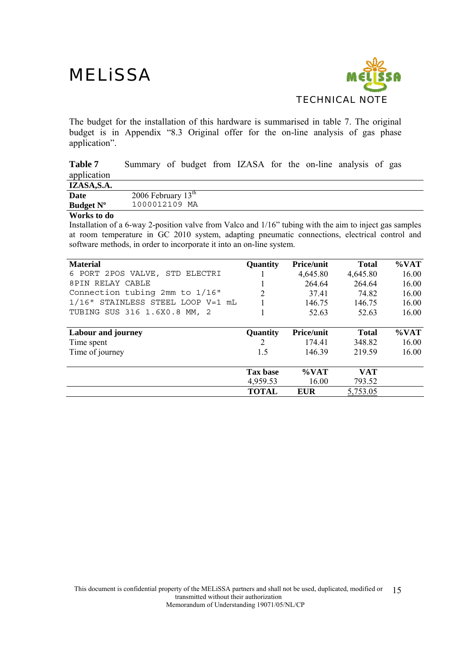

The budget for the installation of this hardware is summarised in table 7. The original budget is in Appendix "8.3 Original offer for the on-line analysis of gas phase application".

**Table 7** Summary of budget from IZASA for the on-line analysis of gas application

| IZASA, S.A.      |                      |
|------------------|----------------------|
| Date             | 2006 February $13th$ |
| <b>Budget N°</b> | 1000012109 MA        |
|                  |                      |

#### **Works to do**

Installation of a 6-way 2-position valve from Valco and 1/16" tubing with the aim to inject gas samples at room temperature in GC 2010 system, adapting pneumatic connections, electrical control and software methods, in order to incorporate it into an on-line system.

| <b>Material</b>                   | Quantity        | <b>Price/unit</b> | <b>Total</b> | $\%$ VAT |
|-----------------------------------|-----------------|-------------------|--------------|----------|
| 6 PORT 2POS VALVE, STD ELECTRI    |                 | 4,645.80          | 4,645.80     | 16.00    |
| 8PIN RELAY CABLE                  |                 | 264.64            | 264.64       | 16.00    |
| Connection tubing 2mm to 1/16"    |                 | 37.41             | 74.82        | 16.00    |
| 1/16" STAINLESS STEEL LOOP V=1 mL |                 | 146.75            | 146.75       | 16.00    |
| TUBING SUS 316 1.6X0.8 MM, 2      |                 | 52.63             | 52.63        | 16.00    |
|                                   |                 |                   |              |          |
| Labour and journey                | <b>Quantity</b> | <b>Price/unit</b> | <b>Total</b> | $\%$ VAT |
| Time spent                        | 2               | 174.41            | 348.82       | 16.00    |
| Time of journey                   | 1.5             | 146.39            | 219.59       | 16.00    |
|                                   |                 |                   |              |          |
|                                   | <b>Tax base</b> | $\%$ VAT          | <b>VAT</b>   |          |
|                                   | 4,959.53        | 16.00             | 793.52       |          |
|                                   | <b>TOTAL</b>    | <b>EUR</b>        | 5,753.05     |          |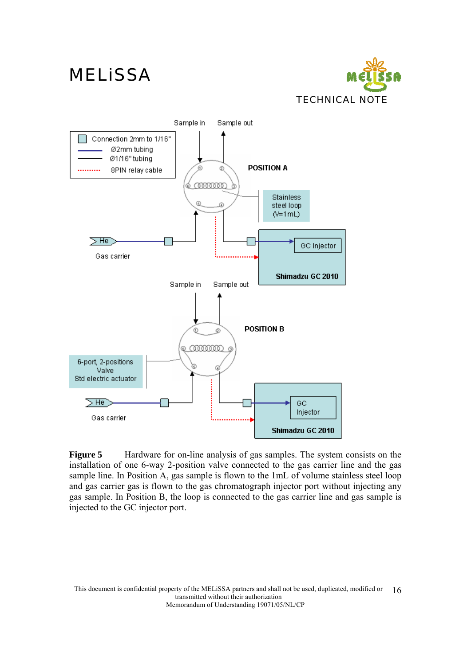





**Figure 5** Hardware for on-line analysis of gas samples. The system consists on the installation of one 6-way 2-position valve connected to the gas carrier line and the gas sample line. In Position A, gas sample is flown to the 1mL of volume stainless steel loop and gas carrier gas is flown to the gas chromatograph injector port without injecting any gas sample. In Position B, the loop is connected to the gas carrier line and gas sample is injected to the GC injector port.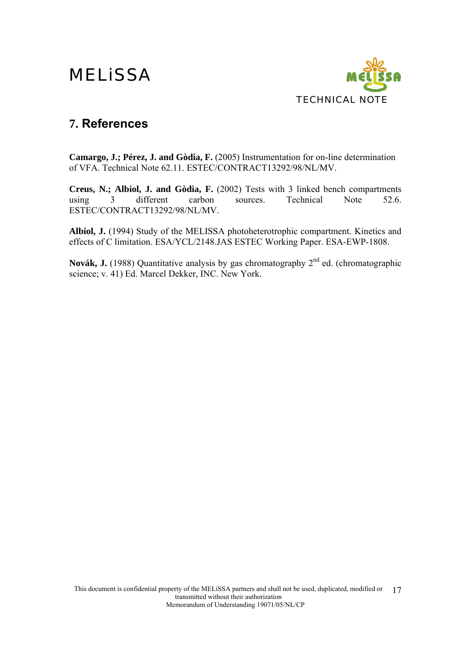

### **7. References**

**Camargo, J.; Pérez, J. and Gòdia, F.** (2005) Instrumentation for on-line determination of VFA. Technical Note 62.11. ESTEC/CONTRACT13292/98/NL/MV.

**Creus, N.; Albiol, J. and Gòdia, F.** (2002) Tests with 3 linked bench compartments using 3 different carbon sources. Technical Note 52.6. ESTEC/CONTRACT13292/98/NL/MV.

**Albiol, J.** (1994) Study of the MELISSA photoheterotrophic compartment. Kinetics and effects of C limitation. ESA/YCL/2148.JAS ESTEC Working Paper. ESA-EWP-1808.

Novák, J. (1988) Quantitative analysis by gas chromatography 2<sup>nd</sup> ed. (chromatographic science; v. 41) Ed. Marcel Dekker, INC. New York.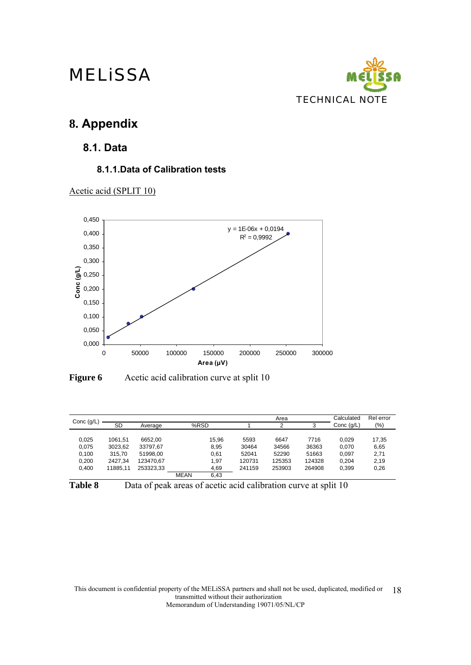

### **8. Appendix**

**8.1. Data** 

### **8.1.1.Data of Calibration tests**







|              |           |           |             |       |        | Area   |        | Calculated   | Rel error |
|--------------|-----------|-----------|-------------|-------|--------|--------|--------|--------------|-----------|
| Conc $(g/L)$ | <b>SD</b> | Average   |             | %RSD  |        | っ      | 3      | Conc $(q/L)$ | $(\%)$    |
|              |           |           |             |       |        |        |        |              |           |
| 0,025        | 1061,51   | 6652.00   |             | 15.96 | 5593   | 6647   | 7716   | 0.029        | 17,35     |
| 0,075        | 3023,62   | 33797.67  |             | 8,95  | 30464  | 34566  | 36363  | 0.070        | 6,65      |
| 0,100        | 315.70    | 51998.00  |             | 0,61  | 52041  | 52290  | 51663  | 0.097        | 2,71      |
| 0,200        | 2427.34   | 123470.67 |             | 1,97  | 120731 | 125353 | 124328 | 0.204        | 2,19      |
| 0.400        | 11885.11  | 253323.33 |             | 4,69  | 241159 | 253903 | 264908 | 0,399        | 0,26      |
|              |           |           | <b>MEAN</b> | 6.43  |        |        |        |              |           |



Table 8 Data of peak areas of acetic acid calibration curve at split 10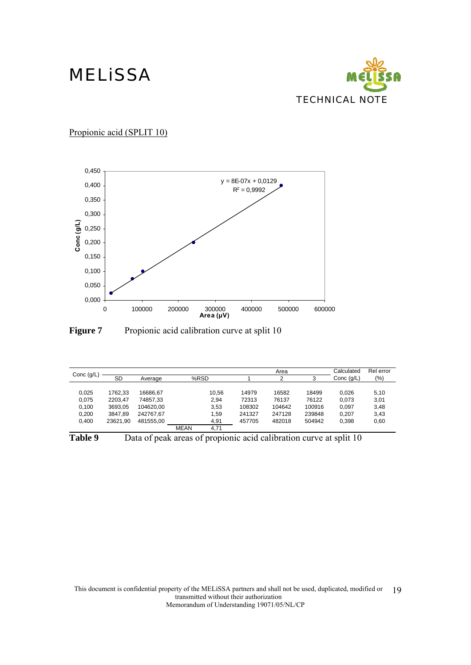

Propionic acid (SPLIT 10)



**Figure 7** Propionic acid calibration curve at split 10

| Conc $(g/L)$ |           |           |             |       |        | Area   |        | Calculated   | Rel error |
|--------------|-----------|-----------|-------------|-------|--------|--------|--------|--------------|-----------|
|              | <b>SD</b> | Average   |             | %RSD  |        | ◠      | 3      | Conc $(q/L)$ | (%)       |
|              |           |           |             |       |        |        |        |              |           |
| 0,025        | 1762.33   | 16686.67  |             | 10,56 | 14979  | 16582  | 18499  | 0.026        | 5,10      |
| 0.075        | 2203.47   | 74857.33  |             | 2.94  | 72313  | 76137  | 76122  | 0.073        | 3,01      |
| 0,100        | 3693,05   | 104620.00 |             | 3,53  | 108302 | 104642 | 100916 | 0.097        | 3,48      |
| 0,200        | 3847,89   | 242767,67 |             | 1,59  | 241327 | 247128 | 239848 | 0.207        | 3,43      |
| 0.400        | 23621.90  | 481555.00 |             | 4,91  | 457705 | 482018 | 504942 | 0,398        | 0,60      |
|              |           |           | <b>MEAN</b> | 4.71  |        |        |        |              |           |

Table 9 Data of peak areas of propionic acid calibration curve at split 10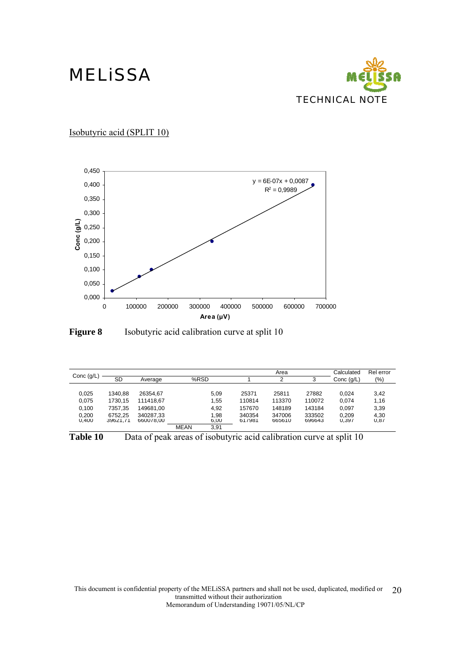

Isobutyric acid (SPLIT 10)



**Figure 8** Isobutyric acid calibration curve at split 10

| Conc $(g/L)$                              | <b>SD</b>                                            | Average                                                      |             | %RSD                                 |                                               | Area<br>2                                     | 3                                             | Calculated<br>Conc $(q/L)$                | Rel error<br>(%)                     |
|-------------------------------------------|------------------------------------------------------|--------------------------------------------------------------|-------------|--------------------------------------|-----------------------------------------------|-----------------------------------------------|-----------------------------------------------|-------------------------------------------|--------------------------------------|
| 0,025<br>0.075<br>0,100<br>0,200<br>0,400 | 1340.88<br>1730.15<br>7357.35<br>6752.25<br>39621,71 | 26354.67<br>111418.67<br>149681.00<br>340287.33<br>660078,00 |             | 5,09<br>1,55<br>4.92<br>1,98<br>6,00 | 25371<br>110814<br>157670<br>340354<br>617981 | 25811<br>113370<br>148189<br>347006<br>665610 | 27882<br>110072<br>143184<br>333502<br>696643 | 0.024<br>0.074<br>0.097<br>0.209<br>0,397 | 3,42<br>1,16<br>3,39<br>4,30<br>0,87 |
|                                           |                                                      |                                                              | <b>MEAN</b> | 3.91                                 |                                               |                                               |                                               |                                           |                                      |

**Table 10** Data of peak areas of isobutyric acid calibration curve at split 10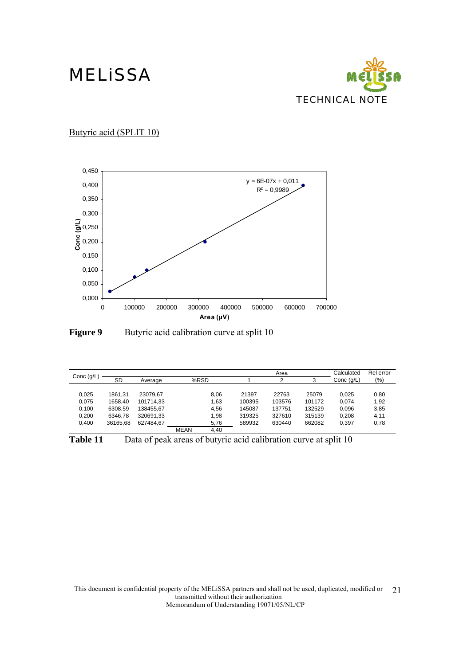

Butyric acid (SPLIT 10)





| Conc $(g/L)$                     | <b>SD</b>                                | Average                                         |             | %RSD                         |                                     | Area<br>$\overline{2}$              | 3                                   | Calculated<br>Conc $(q/L)$       | Rel error<br>$(\%)$          |
|----------------------------------|------------------------------------------|-------------------------------------------------|-------------|------------------------------|-------------------------------------|-------------------------------------|-------------------------------------|----------------------------------|------------------------------|
| 0,025<br>0,075<br>0,100<br>0,200 | 1861.31<br>1658.40<br>6308.59<br>6346,78 | 23079.67<br>101714,33<br>138455.67<br>320691,33 |             | 8,06<br>1,63<br>4,56<br>1,98 | 21397<br>100395<br>145087<br>319325 | 22763<br>103576<br>137751<br>327610 | 25079<br>101172<br>132529<br>315139 | 0,025<br>0.074<br>0.096<br>0,208 | 0,80<br>1,92<br>3,85<br>4,11 |
| 0,400                            | 36165.68                                 | 627484.67                                       | <b>MEAN</b> | 5,76<br>4.40                 | 589932                              | 630440                              | 662082                              | 0,397                            | 0,78                         |

Table 11 Data of peak areas of butyric acid calibration curve at split 10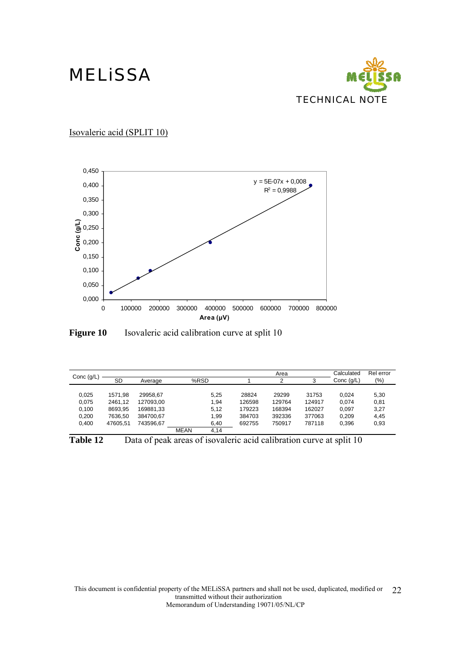

Isovaleric acid (SPLIT 10)





| Conc $(g/L)$ |           |           |             |      |        | Area   |        | Calculated   | Rel error |
|--------------|-----------|-----------|-------------|------|--------|--------|--------|--------------|-----------|
|              | <b>SD</b> | Average   | %RSD        |      |        | っ      | 3      | Conc $(q/L)$ | $(\% )$   |
|              |           |           |             |      |        |        |        |              |           |
| 0,025        | 1571.98   | 29958.67  |             | 5.25 | 28824  | 29299  | 31753  | 0.024        | 5,30      |
| 0,075        | 2461.12   | 127093.00 |             | 1.94 | 126598 | 129764 | 124917 | 0.074        | 0,81      |
| 0,100        | 8693,95   | 169881,33 |             | 5,12 | 179223 | 168394 | 162027 | 0.097        | 3,27      |
| 0,200        | 7636.50   | 384700.67 |             | 1.99 | 384703 | 392336 | 377063 | 0.209        | 4.45      |
| 0,400        | 47605.51  | 743596.67 |             | 6,40 | 692755 | 750917 | 787118 | 0.396        | 0,93      |
|              |           |           | <b>MEAN</b> | 4.14 |        |        |        |              |           |

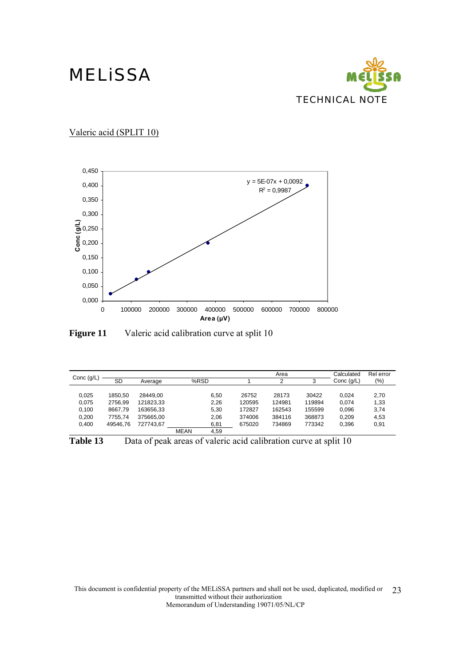

Valeric acid (SPLIT 10)



**Figure 11** Valeric acid calibration curve at split 10

| Conc $(g/L)$ | <b>SD</b> | Average   |             | %RSD |        | Area<br>っ | 3      | Calculated<br>Conc $(g/L)$ | Rel error<br>(%) |
|--------------|-----------|-----------|-------------|------|--------|-----------|--------|----------------------------|------------------|
|              |           |           |             |      |        |           |        |                            |                  |
| 0.025        | 1850.50   | 28449.00  |             | 6.50 | 26752  | 28173     | 30422  | 0.024                      | 2,70             |
| 0.075        | 2756.99   | 121823.33 |             | 2.26 | 120595 | 124981    | 119894 | 0.074                      | 1,33             |
| 0.100        | 8667.79   | 163656.33 |             | 5.30 | 172827 | 162543    | 155599 | 0.096                      | 3,74             |
| 0,200        | 7755.74   | 375665.00 |             | 2.06 | 374006 | 384116    | 368873 | 0.209                      | 4,53             |
| 0.400        | 49546.76  | 727743.67 |             | 6,81 | 675020 | 734869    | 773342 | 0.396                      | 0,91             |
|              |           |           | <b>MEAN</b> | 4.59 |        |           |        |                            |                  |

**Table 13** Data of peak areas of valeric acid calibration curve at split 10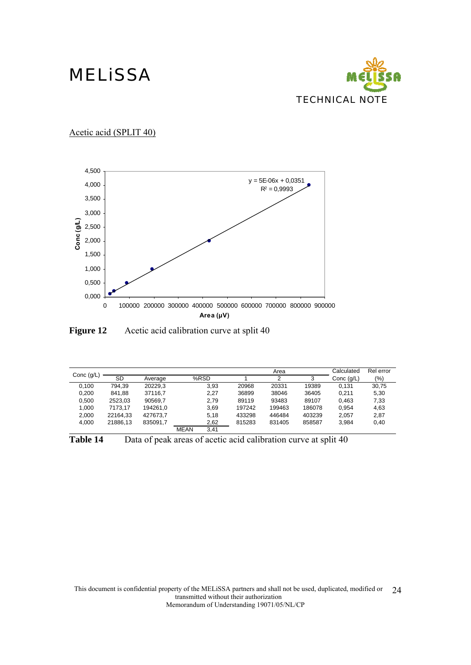

Acetic acid (SPLIT 40)



**Figure 12** Acetic acid calibration curve at split 40

|              |          |          |             |      |        | Area   |        | Calculated   | Rel error |
|--------------|----------|----------|-------------|------|--------|--------|--------|--------------|-----------|
| Conc $(g/L)$ | SD       | Average  |             | %RSD |        | 2      | 3      | Conc $(q/L)$ | (%)       |
| 0.100        | 794.39   | 20229.3  |             | 3.93 | 20968  | 20331  | 19389  | 0.131        | 30,75     |
| 0,200        | 841.88   | 37116.7  |             | 2,27 | 36899  | 38046  | 36405  | 0.211        | 5,30      |
| 0.500        | 2523.03  | 90569.7  |             | 2.79 | 89119  | 93483  | 89107  | 0.463        | 7,33      |
| 1,000        | 7173.17  | 194261.0 |             | 3.69 | 197242 | 199463 | 186078 | 0.954        | 4,63      |
| 2,000        | 22164.33 | 427673.7 |             | 5.18 | 433298 | 446484 | 403239 | 2.057        | 2,87      |
| 4,000        | 21886.13 | 835091.7 |             | 2,62 | 815283 | 831405 | 858587 | 3.984        | 0,40      |
|              |          |          | <b>MEAN</b> | 3.41 |        |        |        |              |           |

| Table 14 | Data of peak areas of acetic acid calibration curve at split 40 |  |  |  |
|----------|-----------------------------------------------------------------|--|--|--|
|----------|-----------------------------------------------------------------|--|--|--|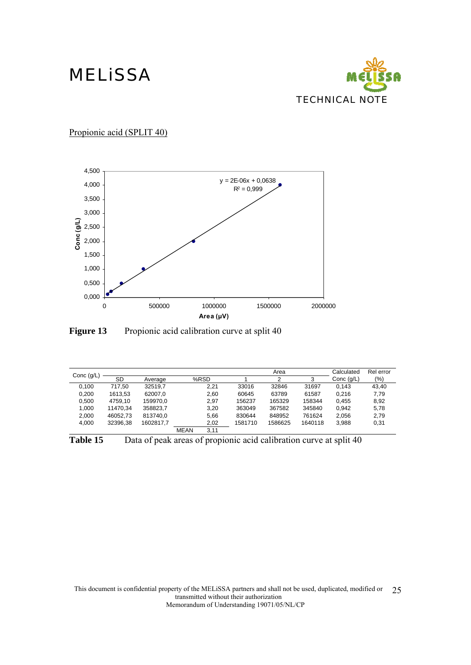

Propionic acid (SPLIT 40)



Figure 13 Propionic acid calibration curve at split 40

|              |          |           |             |      |         | Area    |         | Calculated   | Rel error |
|--------------|----------|-----------|-------------|------|---------|---------|---------|--------------|-----------|
| Conc $(g/L)$ | SD       | Average   |             | %RSD |         | 2       | 3       | Conc $(q/L)$ | $(\% )$   |
| 0.100        | 717.50   | 32519.7   |             | 2.21 | 33016   | 32846   | 31697   | 0.143        | 43.40     |
| 0,200        | 1613,53  | 62007.0   |             | 2,60 | 60645   | 63789   | 61587   | 0.216        | 7,79      |
| 0.500        | 4759.10  | 159970.0  |             | 2.97 | 156237  | 165329  | 158344  | 0.455        | 8.92      |
| 1,000        | 11470.34 | 358823,7  |             | 3,20 | 363049  | 367582  | 345840  | 0.942        | 5,78      |
| 2.000        | 46052.73 | 813740.0  |             | 5.66 | 830644  | 848952  | 761624  | 2.056        | 2.79      |
| 4.000        | 32396.38 | 1602817.7 |             | 2,02 | 1581710 | 1586625 | 1640118 | 3,988        | 0,31      |
|              |          |           | <b>MEAN</b> | 3.11 |         |         |         |              |           |

Table 15 Data of peak areas of propionic acid calibration curve at split 40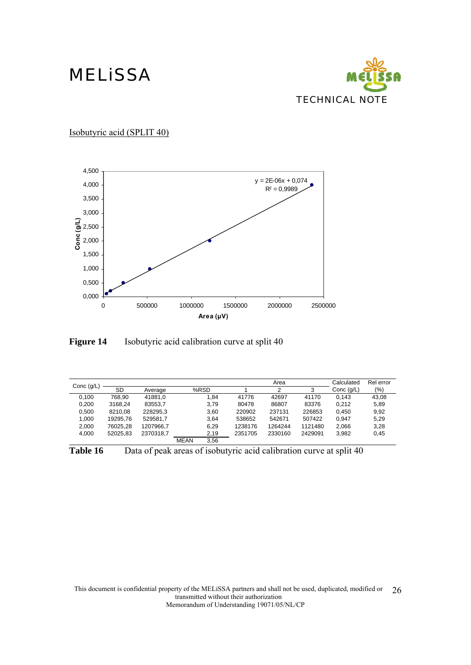

Isobutyric acid (SPLIT 40)



**Figure 14** Isobutyric acid calibration curve at split 40

|              |          |           |             |      |         | Area    |         | Calculated   | Rel error |
|--------------|----------|-----------|-------------|------|---------|---------|---------|--------------|-----------|
| Conc $(g/L)$ | SD       | Average   |             | %RSD |         | 2       | 3       | Conc $(q/L)$ | $(\% )$   |
| 0.100        | 768.90   | 41881.0   |             | 1.84 | 41776   | 42697   | 41170   | 0.143        | 43,08     |
| 0,200        | 3168.24  | 83553.7   |             | 3,79 | 80478   | 86807   | 83376   | 0.212        | 5,89      |
| 0.500        | 8210.08  | 228295.3  |             | 3.60 | 220902  | 237131  | 226853  | 0.450        | 9.92      |
| 1,000        | 19295.76 | 529581.7  |             | 3.64 | 538652  | 542671  | 507422  | 0.947        | 5.29      |
| 2.000        | 76025.28 | 1207966.7 |             | 6.29 | 1238176 | 1264244 | 1121480 | 2.066        | 3.28      |
| 4.000        | 52025.83 | 2370318.7 |             | 2,19 | 2351705 | 2330160 | 2429091 | 3,982        | 0,45      |
|              |          |           | <b>MEAN</b> | 3.56 |         |         |         |              |           |

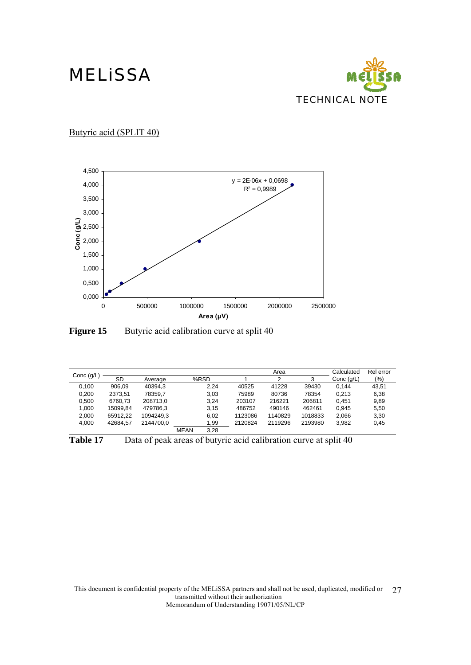

Butyric acid (SPLIT 40)



**Figure 15** Butyric acid calibration curve at split 40

|              |          |           |             |      |         | Area    |         | Calculated   | Rel error |
|--------------|----------|-----------|-------------|------|---------|---------|---------|--------------|-----------|
| Conc $(g/L)$ | SD       | Average   |             | %RSD |         | 2       | 3       | Conc $(q/L)$ | (%)       |
| 0.100        | 906.09   | 40394.3   |             | 2.24 | 40525   | 41228   | 39430   | 0.144        | 43.51     |
| 0,200        | 2373,51  | 78359.7   |             | 3,03 | 75989   | 80736   | 78354   | 0.213        | 6,38      |
| 0.500        | 6760.73  | 208713.0  |             | 3.24 | 203107  | 216221  | 206811  | 0.451        | 9,89      |
| 1.000        | 15099.84 | 479786.3  |             | 3.15 | 486752  | 490146  | 462461  | 0.945        | 5.50      |
| 2,000        | 65912.22 | 1094249.3 |             | 6,02 | 1123086 | 1140829 | 1018833 | 2.066        | 3,30      |
| 4.000        | 42684.57 | 2144700.0 |             | 1,99 | 2120824 | 2119296 | 2193980 | 3.982        | 0,45      |
|              |          |           | <b>MEAN</b> | 3.28 |         |         |         |              |           |

Table 17 Data of peak areas of butyric acid calibration curve at split 40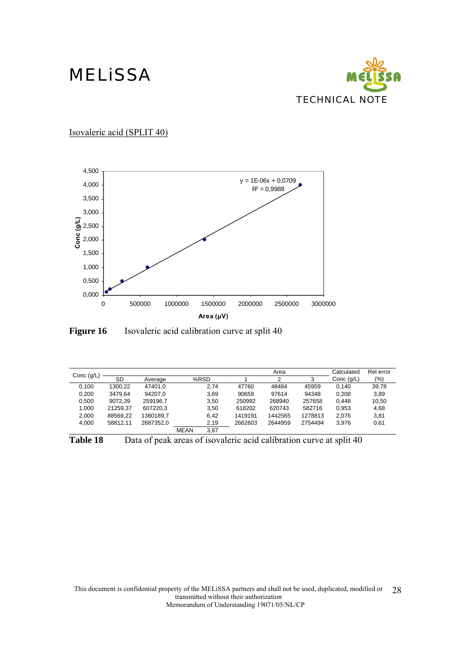

Isovaleric acid (SPLIT 40)



**Figure 16** Isovaleric acid calibration curve at split 40

| Conc $(g/L)$ |          |           |             |      |         | Area    |         | Calculated   | Rel error |
|--------------|----------|-----------|-------------|------|---------|---------|---------|--------------|-----------|
|              | SD       | Average   |             | %RSD |         | 2       | 3       | Conc $(q/L)$ | (%)       |
| 0.100        | 1300.22  | 47401.0   |             | 2.74 | 47760   | 48484   | 45959   | 0.140        | 39,78     |
| 0,200        | 3479.64  | 94207.0   |             | 3,69 | 90659   | 97614   | 94348   | 0,208        | 3,89      |
| 0.500        | 9072.39  | 259196.7  |             | 3.50 | 250992  | 268940  | 257658  | 0.448        | 10.50     |
| 1,000        | 21259.37 | 607220.3  |             | 3,50 | 618202  | 620743  | 582716  | 0,953        | 4,68      |
| 2.000        | 88569.22 | 1380189.7 |             | 6.42 | 1419191 | 1442565 | 1278813 | 2.076        | 3.81      |
| 4.000        | 58812.11 | 2687352.0 |             | 2,19 | 2662603 | 2644959 | 2754494 | 3.976        | 0,61      |
|              |          |           | <b>MEAN</b> | 3.67 |         |         |         |              |           |

Table 18 Data of peak areas of isovaleric acid calibration curve at split 40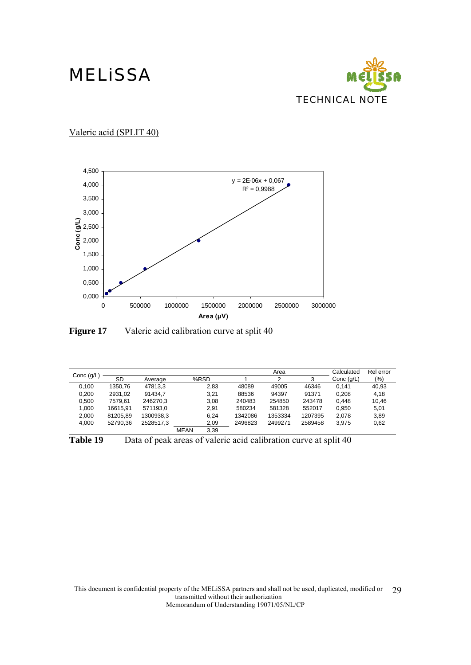

Valeric acid (SPLIT 40)



**Figure 17** Valeric acid calibration curve at split 40

|              |               |           |             |      |         | Area    |         | Calculated   | Rel error |
|--------------|---------------|-----------|-------------|------|---------|---------|---------|--------------|-----------|
| Conc $(g/L)$ | SD<br>Average |           |             | %RSD |         | 2       | 3       | Conc $(q/L)$ | $(\% )$   |
| 0.100        | 1350.76       | 47813.3   |             | 2,83 | 48089   | 49005   | 46346   | 0.141        | 40,93     |
| 0,200        | 2931,02       | 91434.7   |             | 3,21 | 88536   | 94397   | 91371   | 0,208        | 4,18      |
| 0.500        | 7579.61       | 246270.3  |             | 3.08 | 240483  | 254850  | 243478  | 0.448        | 10.46     |
| 1,000        | 16615.91      | 571193.0  |             | 2.91 | 580234  | 581328  | 552017  | 0.950        | 5,01      |
| 2.000        | 81205.89      | 1300938,3 |             | 6.24 | 1342086 | 1353334 | 1207395 | 2.078        | 3,89      |
| 4.000        | 52790.36      | 2528517.3 |             | 2,09 | 2496823 | 2499271 | 2589458 | 3.975        | 0,62      |
|              |               |           | <b>MEAN</b> | 3.39 |         |         |         |              |           |

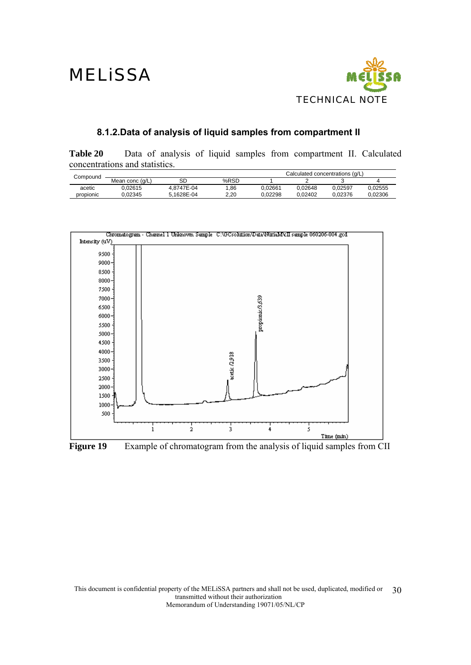

### **8.1.2.Data of analysis of liquid samples from compartment II**

**Table 20** Data of analysis of liquid samples from compartment II. Calculated concentrations and statistics.

| Compound  |                 |            |      |         | Calculated concentrations (q/L) |         |         |
|-----------|-----------------|------------|------|---------|---------------------------------|---------|---------|
|           | Mean conc (q/L) | SD         | %RSD |         |                                 |         |         |
| acetic    | 0.02615         | 4.8747E-04 | .86  | 0.02661 | 0.02648                         | 0.02597 | 0.02555 |
| propionic | 0.02345         | 5.1628E-04 | 2.20 | 0.02298 | 0.02402                         | 0.02376 | 0.02306 |



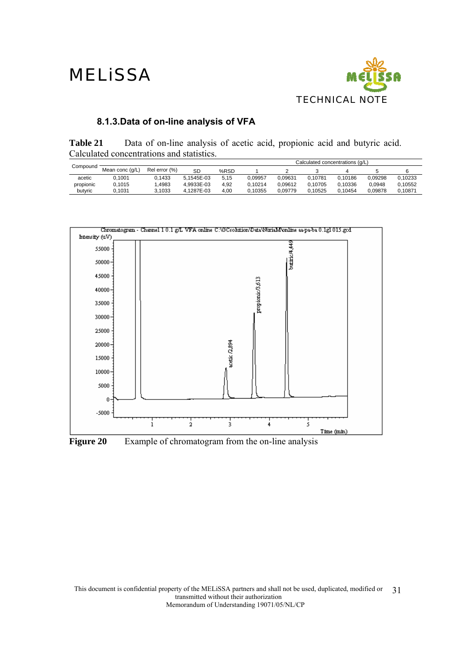

### **8.1.3.Data of on-line analysis of VFA**

**Table 21** Data of on-line analysis of acetic acid, propionic acid and butyric acid. Calculated concentrations and statistics.

|           |                 |               |            |      | Calculated concentrations (g/L) |         |         |         |         |         |
|-----------|-----------------|---------------|------------|------|---------------------------------|---------|---------|---------|---------|---------|
| Compound  | Mean conc (q/L) | Rel error (%) | SD         | %RSD |                                 |         |         |         |         |         |
| acetic    | 0.1001          | 0.1433        | 5.1545E-03 | 5.15 | 0.09957                         | 0.09631 | 0.10781 | 0.10186 | 0.09298 | 0.10233 |
| propionic | 0.1015          | .4983         | 4.9933E-03 | 4.92 | 0.10214                         | 0.09612 | 0.10705 | 0.10336 | 0.0948  | 0.10552 |
| butyric   | 0.1031          | 3.1033        | 4.1287E-03 | 4.00 | 0.10355                         | 0.09779 | 0.10525 | 0.10454 | 0.09878 | J.10871 |

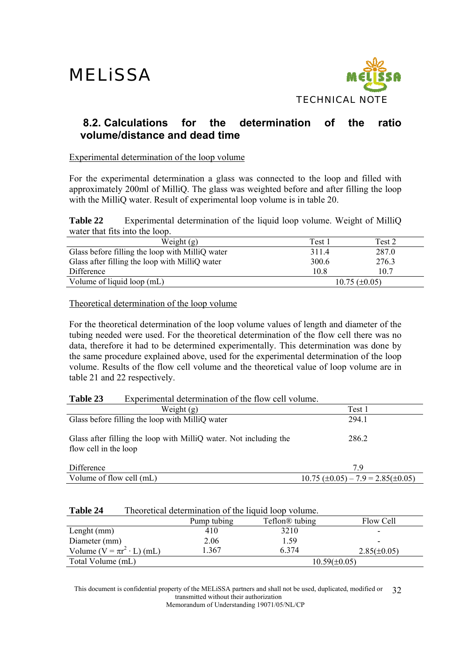

### **8.2. Calculations for the determination of the ratio volume/distance and dead time**

Experimental determination of the loop volume

For the experimental determination a glass was connected to the loop and filled with approximately 200ml of MilliQ. The glass was weighted before and after filling the loop with the MilliQ water. Result of experimental loop volume is in table 20.

**Table 22** Experimental determination of the liquid loop volume. Weight of MilliO water that fits into the loop.

| Weight $(g)$                                    | Test 1 | Test 2             |
|-------------------------------------------------|--------|--------------------|
| Glass before filling the loop with MilliQ water | 311.4  | 287.0              |
| Glass after filling the loop with MilliQ water  | 300.6  | 276.3              |
| Difference                                      | 10.8   | 10.7               |
| Volume of liquid loop (mL)                      |        | $10.75 (\pm 0.05)$ |

Theoretical determination of the loop volume

For the theoretical determination of the loop volume values of length and diameter of the tubing needed were used. For the theoretical determination of the flow cell there was no data, therefore it had to be determined experimentally. This determination was done by the same procedure explained above, used for the experimental determination of the loop volume. Results of the flow cell volume and the theoretical value of loop volume are in table 21 and 22 respectively.

#### **Table 23** Experimental determination of the flow cell volume.

| Weight $(g)$                                                                               | Test 1                                         |
|--------------------------------------------------------------------------------------------|------------------------------------------------|
| Glass before filling the loop with MilliQ water                                            | 294 1                                          |
| Glass after filling the loop with MilliQ water. Not including the<br>flow cell in the loop | 286.2                                          |
| Difference                                                                                 | 79                                             |
| Volume of flow cell (mL)                                                                   | $10.75 \ (\pm 0.05) - 7.9 = 2.85 \ (\pm 0.05)$ |

#### **Table 24** Theoretical determination of the liquid loop volume.

|                                       | Pump tubing | Teflon <sup>®</sup> tubing | Flow Cell        |
|---------------------------------------|-------------|----------------------------|------------------|
| Lenght $(mm)$                         | 410         | 3210                       | -                |
| Diameter (mm)                         | 2.06        | 1.59                       | -                |
| Volume ( $V = \pi r^2 \cdot L$ ) (mL) | .367        | 6 3 7 4                    | $2.85(\pm 0.05)$ |
| Total Volume (mL)                     |             | $10.59(\pm 0.05)$          |                  |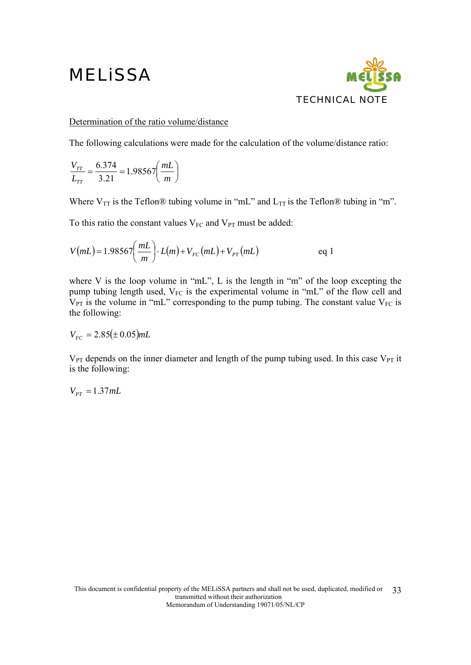

#### Determination of the ratio volume/distance

The following calculations were made for the calculation of the volume/distance ratio:

$$
\frac{V_{TT}}{L_{TT}} = \frac{6.374}{3.21} = 1.98567 \left(\frac{mL}{m}\right)
$$

Where  $V_{TT}$  is the Teflon® tubing volume in "mL" and  $L_{TT}$  is the Teflon® tubing in "m".

To this ratio the constant values  $V_{FC}$  and  $V_{PT}$  must be added:

$$
V(mL) = 1.98567 \left(\frac{mL}{m}\right) \cdot L(m) + V_{FC}(mL) + V_{PT}(mL) \qquad \text{eq 1}
$$

where V is the loop volume in "mL", L is the length in "m" of the loop excepting the pump tubing length used,  $V_{FC}$  is the experimental volume in "mL" of the flow cell and  $V_{PT}$  is the volume in "mL" corresponding to the pump tubing. The constant value  $V_{FC}$  is the following:

$$
V_{FC} = 2.85(\pm 0.05) mL
$$

 $V_{PT}$  depends on the inner diameter and length of the pump tubing used. In this case  $V_{PT}$  it is the following:

 $V_{PT} = 1.37$ *mL*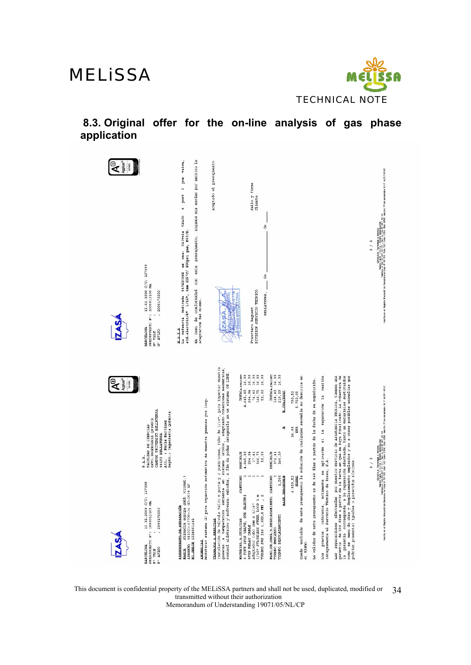

**8.3. Original offer for the on-line analysis of gas phase application** 

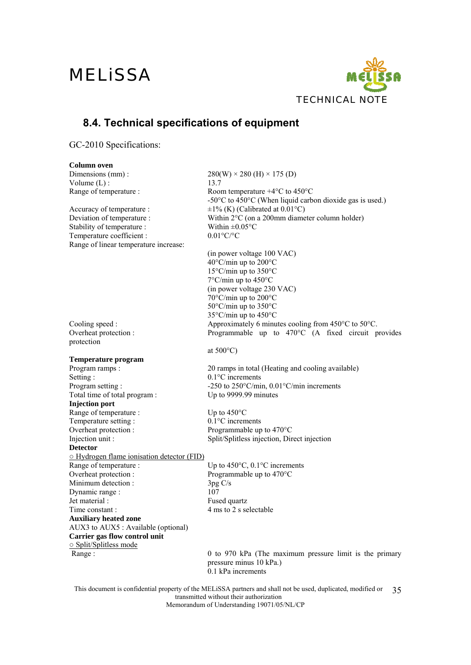

### **8.4. Technical specifications of equipment**

GC-2010 Specifications:

#### **Column oven**

Dimensions (mm) :  $280(W) \times 280 \text{ (H)} \times 175 \text{ (D)}$ Volume  $(L)$  : 13.7 Range of temperature : Room temperature +4°C to 450°C -50°C to 450°C (When liquid carbon dioxide gas is used.) Accuracy of temperature :  $\pm 1\%$  (K) (Calibrated at 0.01 °C) Deviation of temperature : Within 2°C (on a 200mm diameter column holder) Stability of temperature : Within  $\pm 0.05^{\circ}$ C Temperature coefficient :  $0.01^{\circ}C/\text{°C}$ Range of linear temperature increase: (in power voltage 100 VAC) 40°C/min up to 200°C 15°C/min up to 350°C 7°C/min up to 450°C (in power voltage 230 VAC) 70°C/min up to 200°C 50°C/min up to 350°C 35°C/min up to 450°C Cooling speed : Approximately 6 minutes cooling from 450°C to 50°C. Overheat protection : Programmable up to 470°C (A fixed circuit provides protection at 500°C) **Temperature program**  Program ramps : 20 ramps in total (Heating and cooling available) Setting : 0.1°C increments Program setting :  $-250$  to  $250^{\circ}C/min$ ,  $0.01^{\circ}C/min$  increments Total time of total program : Up to 9999.99 minutes **Injection port**  Range of temperature : Up to 450°C Temperature setting : 0.1°C increments Overheat protection : Programmable up to 470°C Injection unit : Split/Splitless injection, Direct injection **Detector**  ○ Hydrogen flame ionisation detector (FID) Range of temperature : Up to 450°C, 0.1°C increments Overheat protection : Programmable up to 470°C Minimum detection : 3pg C/s Dynamic range : 107 Jet material : Fused quartz Time constant : 4 ms to 2 s selectable **Auxiliary heated zone** AUX3 to AUX5 : Available (optional) **Carrier gas flow control unit**  ○ Split/Splitless mode Range : 0 to 970 kPa (The maximum pressure limit is the primary pressure minus 10 kPa.) 0.1 kPa increments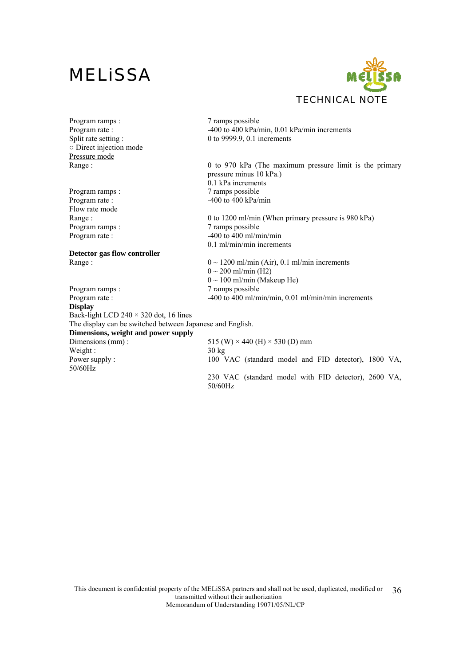

Program ramps : 7 ramps possible ○ Direct injection mode Pressure mode

Program ramps :  $\frac{7}{2}$  ramps possible Flow rate mode

**Detector gas flow controller** 

Program ramps :  $\frac{7}{2}$  ramps possible Program rate :  $-400 \text{ to } 400 \text{ ml/min/min}, 0.01 \text{ ml/min/min}$  increments **Display**  Back-light LCD  $240 \times 320$  dot, 16 lines The display can be switched between Japanese and English. **Dimensions, weight and power supply**<br>Dimensions (mm): Weight :  $30 \text{ kg}$ 50/60Hz

Program rate : -400 to 400 kPa/min, 0.01 kPa/min increments<br>Split rate setting : 0 to 9999.9, 0.1 increments  $0$  to 9999.9, 0.1 increments

Range : 0 to 970 kPa (The maximum pressure limit is the primary pressure minus 10 kPa.) 0.1 kPa increments Program rate :  $-400 \text{ to } 400 \text{ kPa/min}$ 

Range : 0 to 1200 ml/min (When primary pressure is 980 kPa) Program ramps : 7 ramps possible Program rate :  $-400$  to  $400$  ml/min/min 0.1 ml/min/min increments

Range :  $0 \sim 1200 \text{ ml/min (Air)}, 0.1 \text{ ml/min increments}$  $0 \sim 200$  ml/min (H2)  $0 \sim 100$  ml/min (Makeup He)

515 (W)  $\times$  440 (H)  $\times$  530 (D) mm Power supply : 100 VAC (standard model and FID detector), 1800 VA, 230 VAC (standard model with FID detector), 2600 VA, 50/60Hz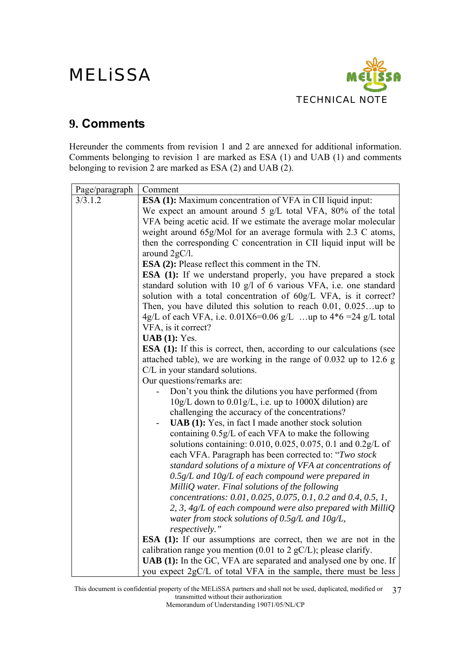

### **9. Comments**

Hereunder the comments from revision 1 and 2 are annexed for additional information. Comments belonging to revision 1 are marked as ESA (1) and UAB (1) and comments belonging to revision 2 are marked as ESA (2) and UAB (2).

| Page/paragraph | Comment                                                                                |  |  |  |  |  |
|----------------|----------------------------------------------------------------------------------------|--|--|--|--|--|
| 3/3.1.2        | <b>ESA (1):</b> Maximum concentration of VFA in CII liquid input:                      |  |  |  |  |  |
|                | We expect an amount around 5 g/L total VFA, 80% of the total                           |  |  |  |  |  |
|                | VFA being acetic acid. If we estimate the average molar molecular                      |  |  |  |  |  |
|                | weight around 65g/Mol for an average formula with 2.3 C atoms,                         |  |  |  |  |  |
|                | then the corresponding C concentration in CII liquid input will be                     |  |  |  |  |  |
|                | around 2gC/l.                                                                          |  |  |  |  |  |
|                | <b>ESA (2):</b> Please reflect this comment in the TN.                                 |  |  |  |  |  |
|                | <b>ESA</b> (1): If we understand properly, you have prepared a stock                   |  |  |  |  |  |
|                | standard solution with 10 g/l of 6 various VFA, i.e. one standard                      |  |  |  |  |  |
|                | solution with a total concentration of 60g/L VFA, is it correct?                       |  |  |  |  |  |
|                | Then, you have diluted this solution to reach $0.01, 0.025$ up to                      |  |  |  |  |  |
|                | 4g/L of each VFA, i.e. $0.01X6=0.06$ g/L up to $4*6=24$ g/L total                      |  |  |  |  |  |
|                | VFA, is it correct?<br>$UAB(1)$ : Yes.                                                 |  |  |  |  |  |
|                | <b>ESA</b> (1): If this is correct, then, according to our calculations (see           |  |  |  |  |  |
|                | attached table), we are working in the range of $0.032$ up to 12.6 g                   |  |  |  |  |  |
|                | C/L in your standard solutions.                                                        |  |  |  |  |  |
|                | Our questions/remarks are:                                                             |  |  |  |  |  |
|                | Don't you think the dilutions you have performed (from                                 |  |  |  |  |  |
|                | $10g/L$ down to $0.01g/L$ , i.e. up to $1000X$ dilution) are                           |  |  |  |  |  |
|                | challenging the accuracy of the concentrations?                                        |  |  |  |  |  |
|                | <b>UAB</b> (1): Yes, in fact I made another stock solution<br>$\overline{\phantom{a}}$ |  |  |  |  |  |
|                | containing 0.5g/L of each VFA to make the following                                    |  |  |  |  |  |
|                | solutions containing: 0.010, 0.025, 0.075, 0.1 and 0.2g/L of                           |  |  |  |  |  |
|                | each VFA. Paragraph has been corrected to: "Two stock                                  |  |  |  |  |  |
|                | standard solutions of a mixture of VFA at concentrations of                            |  |  |  |  |  |
|                | $0.5g/L$ and $10g/L$ of each compound were prepared in                                 |  |  |  |  |  |
|                | MilliQ water. Final solutions of the following                                         |  |  |  |  |  |
|                | concentrations: 0.01, 0.025, 0.075, 0.1, 0.2 and 0.4, 0.5, 1,                          |  |  |  |  |  |
|                | 2, 3, 4g/L of each compound were also prepared with MilliQ                             |  |  |  |  |  |
|                | water from stock solutions of $0.5g/L$ and $10g/L$ ,                                   |  |  |  |  |  |
|                | respectively."                                                                         |  |  |  |  |  |
|                | <b>ESA</b> (1): If our assumptions are correct, then we are not in the                 |  |  |  |  |  |
|                | calibration range you mention (0.01 to 2 $gC/L$ ); please clarify.                     |  |  |  |  |  |
|                | UAB (1): In the GC, VFA are separated and analysed one by one. If                      |  |  |  |  |  |
|                | you expect 2gC/L of total VFA in the sample, there must be less                        |  |  |  |  |  |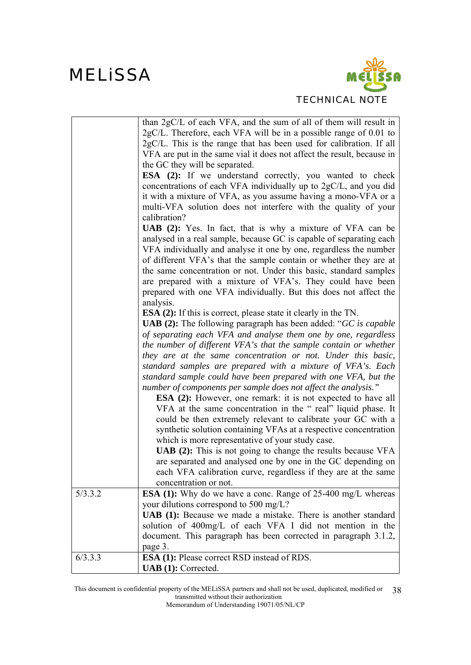

|         | than $2gC/L$ of each VFA, and the sum of all of them will result in       |
|---------|---------------------------------------------------------------------------|
|         | $2gC/L$ . Therefore, each VFA will be in a possible range of 0.01 to      |
|         | $2gC/L$ . This is the range that has been used for calibration. If all    |
|         | VFA are put in the same vial it does not affect the result, because in    |
|         | the GC they will be separated.                                            |
|         | <b>ESA</b> (2): If we understand correctly, you wanted to check           |
|         |                                                                           |
|         | concentrations of each VFA individually up to 2gC/L, and you did          |
|         | it with a mixture of VFA, as you assume having a mono-VFA or a            |
|         | multi-VFA solution does not interfere with the quality of your            |
|         | calibration?                                                              |
|         | UAB (2): Yes. In fact, that is why a mixture of VFA can be                |
|         | analysed in a real sample, because GC is capable of separating each       |
|         | VFA individually and analyse it one by one, regardless the number         |
|         | of different VFA's that the sample contain or whether they are at         |
|         | the same concentration or not. Under this basic, standard samples         |
|         | are prepared with a mixture of VFA's. They could have been                |
|         | prepared with one VFA individually. But this does not affect the          |
|         | analysis.                                                                 |
|         | <b>ESA (2):</b> If this is correct, please state it clearly in the TN.    |
|         | <b>UAB</b> (2): The following paragraph has been added: " $GC$ is capable |
|         | of separating each VFA and analyse them one by one, regardless            |
|         | the number of different VFA's that the sample contain or whether          |
|         | they are at the same concentration or not. Under this basic,              |
|         | standard samples are prepared with a mixture of VFA's. Each               |
|         | standard sample could have been prepared with one VFA, but the            |
|         | number of components per sample does not affect the analysis."            |
|         | <b>ESA</b> (2): However, one remark: it is not expected to have all       |
|         | VFA at the same concentration in the "real" liquid phase. It              |
|         | could be then extremely relevant to calibrate your GC with a              |
|         | synthetic solution containing VFAs at a respective concentration          |
|         | which is more representative of your study case.                          |
|         | <b>UAB (2):</b> This is not going to change the results because VFA       |
|         | are separated and analysed one by one in the GC depending on              |
|         |                                                                           |
|         | each VFA calibration curve, regardless if they are at the same            |
|         | concentration or not.                                                     |
| 5/3.3.2 | <b>ESA</b> (1): Why do we have a conc. Range of 25-400 mg/L whereas       |
|         | your dilutions correspond to 500 mg/L?                                    |
|         | UAB (1): Because we made a mistake. There is another standard             |
|         | solution of 400mg/L of each VFA I did not mention in the                  |
|         | document. This paragraph has been corrected in paragraph 3.1.2,           |
|         | page 3.                                                                   |
| 6/3.3.3 | <b>ESA (1):</b> Please correct RSD instead of RDS.                        |
|         | UAB (1): Corrected.                                                       |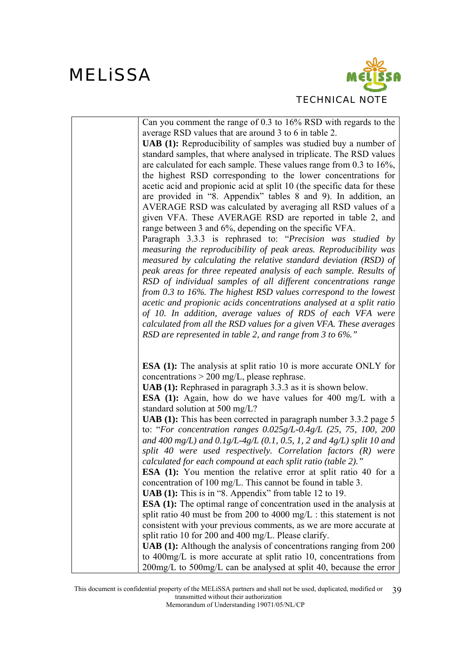

| Can you comment the range of $0.3$ to $16\%$ RSD with regards to the       |
|----------------------------------------------------------------------------|
|                                                                            |
| average RSD values that are around 3 to 6 in table 2.                      |
| <b>UAB</b> (1): Reproducibility of samples was studied buy a number of     |
| standard samples, that where analysed in triplicate. The RSD values        |
| are calculated for each sample. These values range from $0.3$ to $16\%$ ,  |
| the highest RSD corresponding to the lower concentrations for              |
| acetic acid and propionic acid at split 10 (the specific data for these    |
| are provided in "8. Appendix" tables 8 and 9). In addition, an             |
| AVERAGE RSD was calculated by averaging all RSD values of a                |
| given VFA. These AVERAGE RSD are reported in table 2, and                  |
| range between 3 and 6%, depending on the specific VFA.                     |
| Paragraph 3.3.3 is rephrased to: "Precision was studied by                 |
| measuring the reproducibility of peak areas. Reproducibility was           |
| measured by calculating the relative standard deviation (RSD) of           |
|                                                                            |
| peak areas for three repeated analysis of each sample. Results of          |
| RSD of individual samples of all different concentrations range            |
| from 0.3 to 16%. The highest RSD values correspond to the lowest           |
| acetic and propionic acids concentrations analysed at a split ratio        |
| of 10. In addition, average values of RDS of each VFA were                 |
| calculated from all the RSD values for a given VFA. These averages         |
| RSD are represented in table 2, and range from 3 to $6\%$ ."               |
|                                                                            |
| <b>ESA</b> (1): The analysis at split ratio 10 is more accurate ONLY for   |
| concentrations $>$ 200 mg/L, please rephrase.                              |
| <b>UAB</b> (1): Rephrased in paragraph 3.3.3 as it is shown below.         |
| <b>ESA</b> (1): Again, how do we have values for 400 mg/L with a           |
| standard solution at 500 mg/L?                                             |
|                                                                            |
| <b>UAB (1):</b> This has been corrected in paragraph number 3.3.2 page 5   |
| to: "For concentration ranges $0.025g/L-0.4g/L$ (25, 75, 100, 200          |
| and 400 mg/L) and $0.1g/L-4g/L$ (0.1, 0.5, 1, 2 and 4g/L) split 10 and     |
| split 40 were used respectively. Correlation factors $(R)$ were            |
| calculated for each compound at each split ratio (table 2)."               |
| <b>ESA</b> (1): You mention the relative error at split ratio 40 for a     |
| concentration of 100 mg/L. This cannot be found in table 3.                |
| <b>UAB</b> (1): This is in "8. Appendix" from table 12 to 19.              |
| <b>ESA</b> (1): The optimal range of concentration used in the analysis at |
| split ratio 40 must be from 200 to 4000 mg/L : this statement is not       |
| consistent with your previous comments, as we are more accurate at         |
| split ratio 10 for 200 and 400 mg/L. Please clarify.                       |
|                                                                            |
| <b>UAB</b> (1): Although the analysis of concentrations ranging from 200   |
| to 400mg/L is more accurate at split ratio 10, concentrations from         |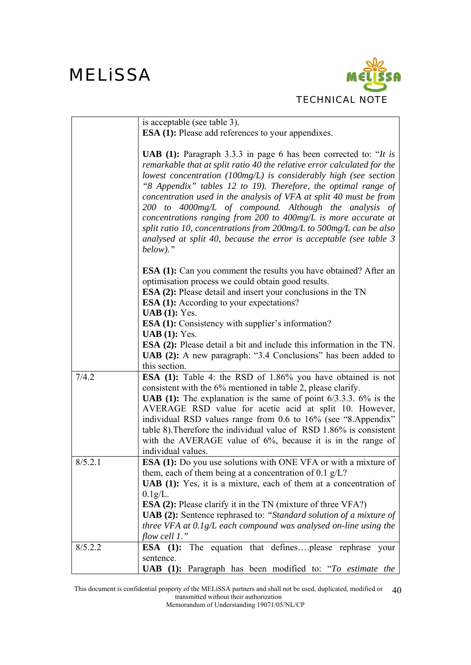

|         | is acceptable (see table 3).                                                                                                                                                                                                                                                                                                                                               |
|---------|----------------------------------------------------------------------------------------------------------------------------------------------------------------------------------------------------------------------------------------------------------------------------------------------------------------------------------------------------------------------------|
|         | <b>ESA (1):</b> Please add references to your appendixes.                                                                                                                                                                                                                                                                                                                  |
|         |                                                                                                                                                                                                                                                                                                                                                                            |
|         | <b>UAB</b> (1): Paragraph 3.3.3 in page 6 has been corrected to: " <i>It is</i><br>remarkable that at split ratio 40 the relative error calculated for the<br>lowest concentration (100 $mg/L$ ) is considerably high (see section<br>"8 Appendix" tables 12 to 19). Therefore, the optimal range of<br>concentration used in the analysis of VFA at split 40 must be from |
|         | 200 to 4000 $mg/L$ of compound. Although the analysis of<br>concentrations ranging from 200 to $400$ mg/L is more accurate at                                                                                                                                                                                                                                              |
|         | split ratio 10, concentrations from $200$ mg/L to $500$ mg/L can be also<br>analysed at split 40, because the error is acceptable (see table $3$<br>$below).$ "                                                                                                                                                                                                            |
|         | <b>ESA</b> (1): Can you comment the results you have obtained? After an<br>optimisation process we could obtain good results.                                                                                                                                                                                                                                              |
|         | <b>ESA (2):</b> Please detail and insert your conclusions in the TN                                                                                                                                                                                                                                                                                                        |
|         | <b>ESA (1):</b> According to your expectations?                                                                                                                                                                                                                                                                                                                            |
|         | <b>UAB</b> $(1)$ : Yes.                                                                                                                                                                                                                                                                                                                                                    |
|         | <b>ESA (1):</b> Consistency with supplier's information?                                                                                                                                                                                                                                                                                                                   |
|         | $UAB(1)$ : Yes.                                                                                                                                                                                                                                                                                                                                                            |
|         | <b>ESA</b> (2): Please detail a bit and include this information in the TN.<br>UAB (2): A new paragraph: "3.4 Conclusions" has been added to<br>this section.                                                                                                                                                                                                              |
| 7/4.2   | <b>ESA</b> (1): Table 4: the RSD of 1.86% you have obtained is not                                                                                                                                                                                                                                                                                                         |
|         | consistent with the 6% mentioned in table 2, please clarify.                                                                                                                                                                                                                                                                                                               |
|         | <b>UAB</b> (1): The explanation is the same of point $6/3.3.3$ . $6\%$ is the                                                                                                                                                                                                                                                                                              |
|         | AVERAGE RSD value for acetic acid at split 10. However,                                                                                                                                                                                                                                                                                                                    |
|         | individual RSD values range from 0.6 to 16% (see "8.Appendix"                                                                                                                                                                                                                                                                                                              |
|         | table 8). Therefore the individual value of RSD 1.86% is consistent                                                                                                                                                                                                                                                                                                        |
|         | with the AVERAGE value of $6\%$ , because it is in the range of                                                                                                                                                                                                                                                                                                            |
|         | individual values.                                                                                                                                                                                                                                                                                                                                                         |
| 8/5.2.1 | <b>ESA</b> (1): Do you use solutions with ONE VFA or with a mixture of                                                                                                                                                                                                                                                                                                     |
|         | them, each of them being at a concentration of 0.1 $g/L$ ?                                                                                                                                                                                                                                                                                                                 |
|         | <b>UAB</b> (1): Yes, it is a mixture, each of them at a concentration of                                                                                                                                                                                                                                                                                                   |
|         | $0.1g/L$ .                                                                                                                                                                                                                                                                                                                                                                 |
|         | <b>ESA (2):</b> Please clarify it in the TN (mixture of three VFA?)                                                                                                                                                                                                                                                                                                        |
|         | <b>UAB (2):</b> Sentence rephrased to: "Standard solution of a mixture of                                                                                                                                                                                                                                                                                                  |
|         | three VFA at $0.1g/L$ each compound was analysed on-line using the<br>flow cell $1.$ "                                                                                                                                                                                                                                                                                     |
| 8/5.2.2 | The equation that definesplease rephrase your<br>ESA $(1)$ :                                                                                                                                                                                                                                                                                                               |
|         | sentence.                                                                                                                                                                                                                                                                                                                                                                  |
|         | <b>UAB</b> (1): Paragraph has been modified to: "To estimate the                                                                                                                                                                                                                                                                                                           |